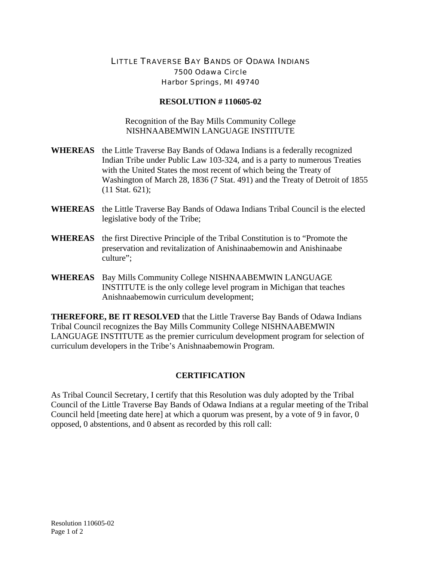## LITTLE TRAVERSE BAY BANDS OF ODAWA INDIANS 7500 Odawa Circle Harbor Springs, MI 49740

## **RESOLUTION # 110605-02**

Recognition of the Bay Mills Community College NISHNAABEMWIN LANGUAGE INSTITUTE

- **WHEREAS** the Little Traverse Bay Bands of Odawa Indians is a federally recognized Indian Tribe under Public Law 103-324, and is a party to numerous Treaties with the United States the most recent of which being the Treaty of Washington of March 28, 1836 (7 Stat. 491) and the Treaty of Detroit of 1855 (11 Stat. 621);
- **WHEREAS** the Little Traverse Bay Bands of Odawa Indians Tribal Council is the elected legislative body of the Tribe;
- **WHEREAS** the first Directive Principle of the Tribal Constitution is to "Promote the preservation and revitalization of Anishinaabemowin and Anishinaabe culture";
- **WHEREAS** Bay Mills Community College NISHNAABEMWIN LANGUAGE INSTITUTE is the only college level program in Michigan that teaches Anishnaabemowin curriculum development;

**THEREFORE, BE IT RESOLVED** that the Little Traverse Bay Bands of Odawa Indians Tribal Council recognizes the Bay Mills Community College NISHNAABEMWIN LANGUAGE INSTITUTE as the premier curriculum development program for selection of curriculum developers in the Tribe's Anishnaabemowin Program.

## **CERTIFICATION**

As Tribal Council Secretary, I certify that this Resolution was duly adopted by the Tribal Council of the Little Traverse Bay Bands of Odawa Indians at a regular meeting of the Tribal Council held [meeting date here] at which a quorum was present, by a vote of 9 in favor, 0 opposed, 0 abstentions, and 0 absent as recorded by this roll call: